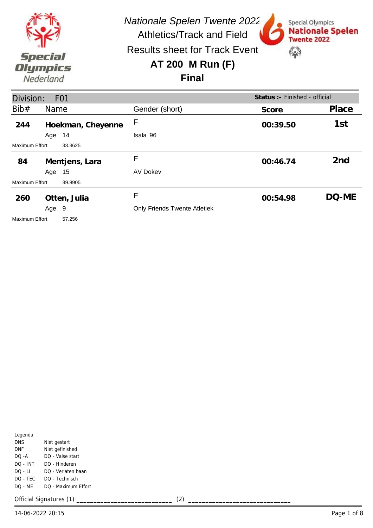

Special Olympics

**Twente 2022** 

\$

**Nationale Spelen** 

Results sheet for Track Event

## **AT 200 M Run (F)**

## **Final**

| Division:                        |      | F <sub>01</sub>   |                                     | Status: - Finished - official |                 |
|----------------------------------|------|-------------------|-------------------------------------|-------------------------------|-----------------|
| Bib#                             | Name |                   | Gender (short)                      | Score                         | Place           |
| 244                              |      | Hoekman, Cheyenne | F                                   | 00:39.50                      | 1st             |
|                                  | Age  | 14                | Isala '96                           |                               |                 |
| <b>Maximum Effort</b><br>33.3625 |      |                   |                                     |                               |                 |
| 84                               |      | Mentjens, Lara    | F                                   | 00:46.74                      | 2 <sub>nd</sub> |
|                                  | Age  | 15                | AV Dokev                            |                               |                 |
| Maximum Effort                   |      | 39.8905           |                                     |                               |                 |
| 260                              |      | Otten, Julia      | F                                   | 00:54.98                      | DQ-ME           |
|                                  | Age  | -9                | <b>Only Friends Twente Atletiek</b> |                               |                 |
| <b>Maximum Effort</b>            |      | 57.256            |                                     |                               |                 |

| Legenda    |                     |
|------------|---------------------|
| <b>DNS</b> | Niet gestart        |
| DNF        | Niet gefinished     |
| DO -A      | DO - Valse start    |
| DO - INT   | DO - Hinderen       |
| DO - LI    | DO - Verlaten baan  |
| DO - TEC   | DO - Technisch      |
| DO - MF    | DO - Maximum Effort |
|            |                     |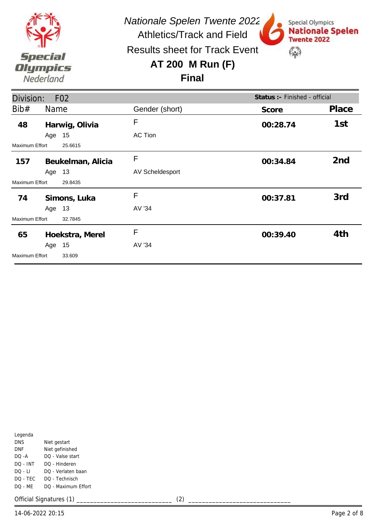

*Nationale Spelen Twente 2022*

Special Olympics

**Twente 2022** 

\$

**Nationale Spelen** 

Athletics/Track and Field Results sheet for Track Event

# **AT 200 M Run (F)**

## **Final**

| Division:             |        | F <sub>02</sub>   |                        | Status : - Finished - official |       |
|-----------------------|--------|-------------------|------------------------|--------------------------------|-------|
| Bib#                  | Name   |                   | Gender (short)         | Score                          | Place |
| 48                    |        | Harwig, Olivia    | F                      | 00:28.74                       | 1st   |
|                       | Age 15 |                   | <b>AC Tion</b>         |                                |       |
| Maximum Effort        |        | 25.6615           |                        |                                |       |
| 157                   |        | Beukelman, Alicia | F                      | 00:34.84                       | 2nd   |
|                       | Age 13 |                   | <b>AV Scheldesport</b> |                                |       |
| Maximum Effort        |        | 29.8435           |                        |                                |       |
| 74                    |        | Simons, Luka      | F                      | 00:37.81                       | 3rd   |
|                       | Age 13 |                   | AV '34                 |                                |       |
| Maximum Effort        |        | 32.7845           |                        |                                |       |
| 65                    |        | Hoekstra, Merel   | F                      | 00:39.40                       | 4th   |
|                       | Age    | 15                | AV '34                 |                                |       |
| <b>Maximum Effort</b> |        | 33.609            |                        |                                |       |

| Legenda  |                     |
|----------|---------------------|
| DNS      | Niet gestart        |
| DNF      | Niet gefinished     |
| DO -A    | DO - Valse start    |
| DO - INT | DO - Hinderen       |
| DO - LI  | DO - Verlaten baan  |
| DQ - TEC | DO - Technisch      |
| DO - ME  | DO - Maximum Effort |
|          |                     |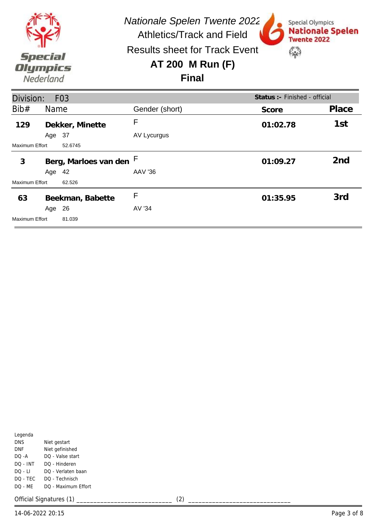

Special Olympics

**Twente 2022** 

\$

**Nationale Spelen** 

Results sheet for Track Event

## **AT 200 M Run (F)**

## **Final**

| Status : - Finished - official<br>Division:<br>F <sub>03</sub> |        |                         |                |          |                 |
|----------------------------------------------------------------|--------|-------------------------|----------------|----------|-----------------|
| Bib#                                                           | Name   |                         | Gender (short) | Score    | Place           |
| 129                                                            |        | Dekker, Minette         | F              | 01:02.78 | 1st             |
|                                                                | Age 37 |                         | AV Lycurgus    |          |                 |
| <b>Maximum Effort</b><br>52.6745                               |        |                         |                |          |                 |
| 3                                                              |        | Berg, Marloes van den F |                | 01:09.27 | 2 <sub>nd</sub> |
|                                                                | Age 42 |                         | AAV '36        |          |                 |
| Maximum Effort                                                 |        | 62.526                  |                |          |                 |
| 63                                                             |        | Beekman, Babette        | F              | 01:35.95 | 3rd             |
|                                                                | Age    | 26                      | AV '34         |          |                 |
| <b>Maximum Effort</b>                                          |        | 81.039                  |                |          |                 |

| Legenda    |                     |
|------------|---------------------|
| <b>DNS</b> | Niet gestart        |
| DNF        | Niet gefinished     |
| DO -A      | DO - Valse start    |
| DO - INT   | DO - Hinderen       |
| $DO - LI$  | DO - Verlaten baan  |
| DO - TEC   | DO - Technisch      |
| DQ - MF    | DO - Maximum Effort |
|            |                     |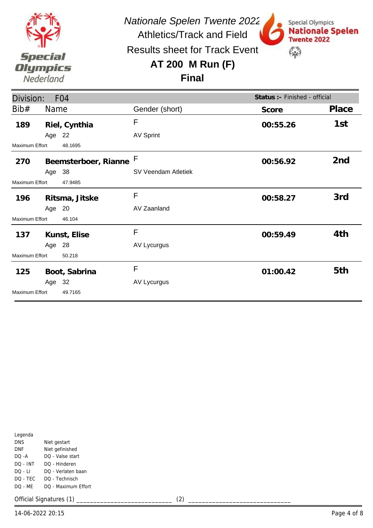

Special Olympics

**Twente 2022** 

\$

**Nationale Spelen** 

Results sheet for Track Event

# **AT 200 M Run (F)**

#### **Final**

| Division:             |        | F <sub>04</sub>        |                     | Status :- Finished - official |                 |
|-----------------------|--------|------------------------|---------------------|-------------------------------|-----------------|
| Bib#                  | Name   |                        | Gender (short)      | Score                         | Place           |
| 189                   |        | Riel, Cynthia          | F                   | 00:55.26                      | 1st             |
|                       | Age 22 |                        | <b>AV Sprint</b>    |                               |                 |
| Maximum Effort        |        | 48.1695                |                     |                               |                 |
| 270                   |        | Beemsterboer, Rianne F |                     | 00:56.92                      | 2 <sub>nd</sub> |
|                       | Age 38 |                        | SV Veendam Atletiek |                               |                 |
| Maximum Effort        |        | 47.9485                |                     |                               |                 |
| 196                   |        | Ritsma, Jitske         | F                   | 00:58.27                      | 3rd             |
|                       | Age 20 |                        | AV Zaanland         |                               |                 |
| Maximum Effort        |        | 46.104                 |                     |                               |                 |
| 137                   |        | Kunst, Elise           | F                   | 00:59.49                      | 4th             |
|                       | Age 28 |                        | AV Lycurgus         |                               |                 |
| Maximum Effort        |        | 50.218                 |                     |                               |                 |
| 125                   |        | Boot, Sabrina          | F                   | 01:00.42                      | 5th             |
|                       | Age 32 |                        | AV Lycurgus         |                               |                 |
| <b>Maximum Effort</b> |        | 49.7165                |                     |                               |                 |

| Legenda  |                     |
|----------|---------------------|
| DNS      | Niet gestart        |
| DNF      | Niet gefinished     |
| $DO - A$ | DO - Valse start    |
| DO - INT | DO - Hinderen       |
| DO - LI  | DO - Verlaten baan  |
| DQ - TEC | DO - Technisch      |
| DO - MF  | DO - Maximum Effort |
|          |                     |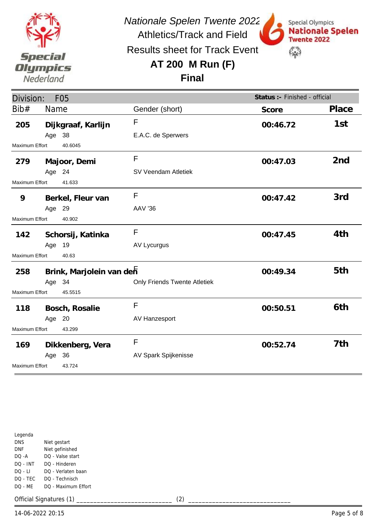

Special Olympics

**Twente 2022** 

\$

**Nationale Spelen** 

Results sheet for Track Event

# **AT 200 M Run (F)**

## **Final**

| Division:<br>F <sub>05</sub> |        |                          |                                     | Status :- Finished - official |                 |
|------------------------------|--------|--------------------------|-------------------------------------|-------------------------------|-----------------|
| Bib#                         | Name   |                          | Gender (short)                      | Score                         | Place           |
| 205                          |        | Dijkgraaf, Karlijn       | F                                   | 00:46.72                      | 1st             |
|                              | Age 38 |                          | E.A.C. de Sperwers                  |                               |                 |
| Maximum Effort               |        | 40.6045                  |                                     |                               |                 |
| 279                          |        | Majoor, Demi             | $\mathsf{F}$                        | 00:47.03                      | 2 <sub>nd</sub> |
|                              | Age 24 |                          | SV Veendam Atletiek                 |                               |                 |
| Maximum Effort               |        | 41.633                   |                                     |                               |                 |
| 9                            |        | Berkel, Fleur van        | $\mathsf{F}$                        | 00:47.42                      | 3rd             |
|                              | Age 29 |                          | <b>AAV '36</b>                      |                               |                 |
| Maximum Effort<br>40.902     |        |                          |                                     |                               |                 |
| 142                          |        | Schorsij, Katinka        | F                                   | 00:47.45                      | 4th             |
|                              | Age    | 19                       | AV Lycurgus                         |                               |                 |
| Maximum Effort               |        | 40.63                    |                                     |                               |                 |
| 258                          |        | Brink, Marjolein van den |                                     | 00:49.34                      | 5th             |
|                              | Age 34 |                          | <b>Only Friends Twente Atletiek</b> |                               |                 |
| Maximum Effort               |        | 45.5515                  |                                     |                               |                 |
| 118                          |        | Bosch, Rosalie           | F                                   | 00:50.51                      | 6th             |
|                              | Age 20 |                          | AV Hanzesport                       |                               |                 |
| <b>Maximum Effort</b>        |        | 43.299                   |                                     |                               |                 |
| 169                          |        | Dikkenberg, Vera         | F                                   | 00:52.74                      | 7th             |
|                              | Age 36 |                          | AV Spark Spijkenisse                |                               |                 |
| Maximum Effort               |        | 43.724                   |                                     |                               |                 |

|            | 14-06-2022 20:15          |     | Page 5 of 8 |
|------------|---------------------------|-----|-------------|
|            | Official Signatures (1) _ | (2) |             |
| DQ - ME    | DQ - Maximum Effort       |     |             |
| DQ - TEC   | DQ - Technisch            |     |             |
| DQ - LI    | DQ - Verlaten baan        |     |             |
| DQ - INT   | DQ - Hinderen             |     |             |
| DQ -A      | DQ - Valse start          |     |             |
| <b>DNF</b> | Niet gefinished           |     |             |
| <b>DNS</b> | Niet gestart              |     |             |
| Legenda    |                           |     |             |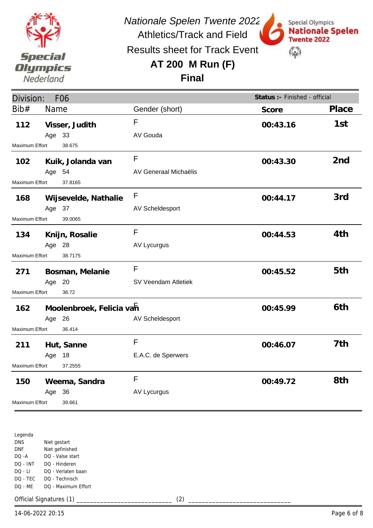

*Nationale Spelen Twente 2022*

Athletics/Track and Field Results sheet for Track Event

# **AT 200 M Run (F)**



Special Olympics

**Final**

| Division:      |        | F <sub>06</sub>          |                       | Status :- Finished - official |                 |
|----------------|--------|--------------------------|-----------------------|-------------------------------|-----------------|
| Bib#           | Name   |                          | Gender (short)        | Score                         | Place           |
| 112            |        | Visser, Judith           | F                     | 00:43.16                      | 1st             |
|                | Age 33 |                          | AV Gouda              |                               |                 |
| Maximum Effort |        | 38.675                   |                       |                               |                 |
| 102            |        | Kuik, Jolanda van        | F                     | 00:43.30                      | 2 <sub>nd</sub> |
|                | Age 54 |                          | AV Generaal Michaëlis |                               |                 |
| Maximum Effort |        | 37.8165                  |                       |                               |                 |
| 168            |        | Wijsevelde, Nathalie     | F                     | 00:44.17                      | 3rd             |
|                | Age 37 |                          | AV Scheldesport       |                               |                 |
| Maximum Effort |        | 39.0065                  |                       |                               |                 |
| 134            |        | Knijn, Rosalie           | F                     | 00:44.53                      | 4th             |
|                | Age 28 |                          | <b>AV Lycurgus</b>    |                               |                 |
| Maximum Effort |        | 38.7175                  |                       |                               |                 |
| 271            |        | Bosman, Melanie          | F                     | 00:45.52                      | 5th             |
|                | Age 20 |                          | SV Veendam Atletiek   |                               |                 |
| Maximum Effort |        | 36.72                    |                       |                               |                 |
| 162            |        | Moolenbroek, Felicia vah |                       | 00:45.99                      | 6th             |
|                | Age 26 |                          | AV Scheldesport       |                               |                 |
| Maximum Effort |        | 36.414                   |                       |                               |                 |
| 211            |        | Hut, Sanne               | F                     | 00:46.07                      | 7th             |
|                | Age 18 |                          | E.A.C. de Sperwers    |                               |                 |
| Maximum Effort |        | 37.2555                  |                       |                               |                 |
| 150            |        | Weema, Sandra            | $\mathsf{F}$          | 00:49.72                      | 8th             |
|                | Age    | - 36                     | <b>AV Lycurgus</b>    |                               |                 |
| Maximum Effort |        | 39.661                   |                       |                               |                 |

Legenda DNS DNF DQ -A DQ - INT DQ - LI DQ - TEC DQ - ME Niet gestart Niet gefinished DQ - Valse start DQ - Hinderen DQ - Verlaten baan DQ - Technisch DQ - Maximum Effort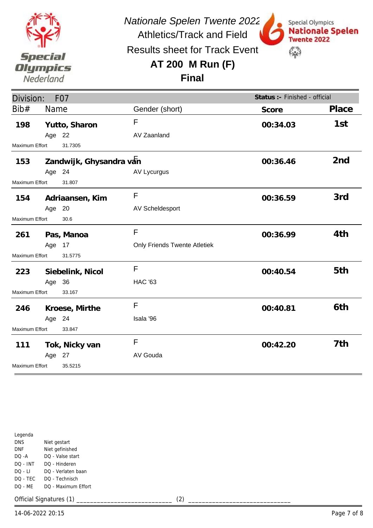

Special Olympics

**Twente 2022** 

\$

**Nationale Spelen** 

Results sheet for Track Event

## **AT 200 M Run (F)**



| Division:<br>F <sub>0</sub> 7 |        |                         |                                     | Status :- Finished - official |                 |
|-------------------------------|--------|-------------------------|-------------------------------------|-------------------------------|-----------------|
| Bib#                          | Name   |                         | Gender (short)                      | Score                         | Place           |
| 198                           |        | Yutto, Sharon           | F                                   | 00:34.03                      | 1st             |
|                               | Age 22 |                         | AV Zaanland                         |                               |                 |
| Maximum Effort                |        | 31.7305                 |                                     |                               |                 |
| 153                           |        | Zandwijk, Ghysandra van |                                     | 00:36.46                      | 2 <sub>nd</sub> |
|                               | Age 24 |                         | AV Lycurgus                         |                               |                 |
| Maximum Effort                |        | 31.807                  |                                     |                               |                 |
| 154                           |        | Adriaansen, Kim         | $\mathsf{F}$                        | 00:36.59                      | 3rd             |
|                               | Age 20 |                         | AV Scheldesport                     |                               |                 |
| Maximum Effort                |        | 30.6                    |                                     |                               |                 |
| 261                           |        | Pas, Manoa              | F                                   | 00:36.99                      | 4th             |
|                               | Age 17 |                         | <b>Only Friends Twente Atletiek</b> |                               |                 |
| Maximum Effort                |        | 31.5775                 |                                     |                               |                 |
| 223                           |        | Siebelink, Nicol        | F                                   | 00:40.54                      | 5th             |
|                               | Age 36 |                         | <b>HAC '63</b>                      |                               |                 |
| Maximum Effort                |        | 33.167                  |                                     |                               |                 |
| 246                           |        | Kroese, Mirthe          | F                                   | 00:40.81                      | 6th             |
|                               | Age 24 |                         | Isala '96                           |                               |                 |
| Maximum Effort                |        | 33.847                  |                                     |                               |                 |
| 111                           |        | Tok, Nicky van          | F                                   | 00:42.20                      | 7th             |
|                               | Age 27 |                         | AV Gouda                            |                               |                 |
| Maximum Effort                |        | 35.5215                 |                                     |                               |                 |

| Legenda    |                     |
|------------|---------------------|
| <b>DNS</b> | Niet gestart        |
| <b>DNF</b> | Niet gefinished     |
| DO -A      | DO - Valse start    |
| $DO - INT$ | DO - Hinderen       |
| $DO - LI$  | DO - Verlaten baan  |
| DO - TEC   | DO - Technisch      |
| $DO - MF$  | DO - Maximum Effort |
|            |                     |